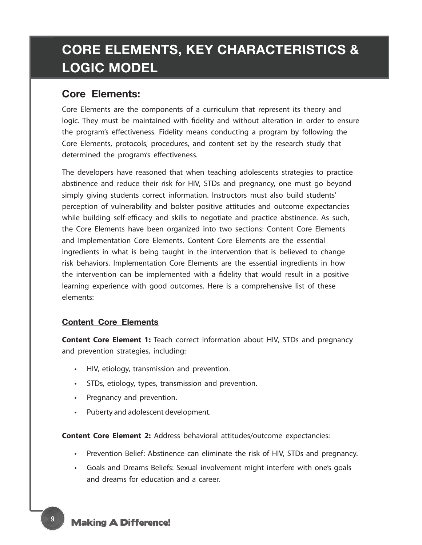# **CORE ELEMENTS, KEY CHARACTERISTICS & LOGIC MODEL**

## **Core Elements:**

Core Elements are the components of a curriculum that represent its theory and logic. They must be maintained with fidelity and without alteration in order to ensure the program's effectiveness. Fidelity means conducting a program by following the Core Elements, protocols, procedures, and content set by the research study that determined the program's effectiveness.

The developers have reasoned that when teaching adolescents strategies to practice abstinence and reduce their risk for HIV, STDs and pregnancy, one must go beyond simply giving students correct information. Instructors must also build students' perception of vulnerability and bolster positive attitudes and outcome expectancies while building self-efficacy and skills to negotiate and practice abstinence. As such, the Core Elements have been organized into two sections: Content Core Elements and Implementation Core Elements. Content Core Elements are the essential ingredients in what is being taught in the intervention that is believed to change risk behaviors. Implementation Core Elements are the essential ingredients in how the intervention can be implemented with a fidelity that would result in a positive learning experience with good outcomes. Here is a comprehensive list of these elements:

## **Content Core Elements**

**Content Core Element 1:** Teach correct information about HIV, STDs and pregnancy and prevention strategies, including:

- HIV, etiology, transmission and prevention.
- STDs, etiology, types, transmission and prevention.
- Pregnancy and prevention.
- Puberty and adolescent development.

**Content Core Element 2:** Address behavioral attitudes/outcome expectancies:

- Prevention Belief: Abstinence can eliminate the risk of HIV, STDs and pregnancy.
- Goals and Dreams Beliefs: Sexual involvement might interfere with one's goals and dreams for education and a career.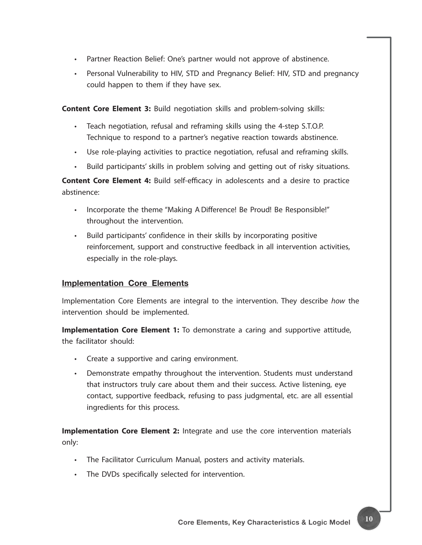- Partner Reaction Belief: One's partner would not approve of abstinence.
- Personal Vulnerability to HIV, STD and Pregnancy Belief: HIV, STD and pregnancy could happen to them if they have sex.

**Content Core Element 3:** Build negotiation skills and problem-solving skills:

- Teach negotiation, refusal and reframing skills using the 4-step S.T.O.P. Technique to respond to a partner's negative reaction towards abstinence.
- Use role-playing activities to practice negotiation, refusal and reframing skills.
- Build participants' skills in problem solving and getting out of risky situations.

**Content Core Element 4:** Build self-efficacy in adolescents and a desire to practice abstinence:

- Incorporate the theme "Making A Difference! Be Proud! Be Responsible!" throughout the intervention.
- Build participants' confidence in their skills by incorporating positive reinforcement, support and constructive feedback in all intervention activities, especially in the role-plays.

### **Implementation Core Elements**

Implementation Core Elements are integral to the intervention. They describe *how* the intervention should be implemented.

**Implementation Core Element 1:** To demonstrate a caring and supportive attitude, the facilitator should:

- Create a supportive and caring environment.
- Demonstrate empathy throughout the intervention. Students must understand that instructors truly care about them and their success. Active listening, eye contact, supportive feedback, refusing to pass judgmental, etc. are all essential ingredients for this process.

**Implementation Core Element 2:** Integrate and use the core intervention materials only:

- The Facilitator Curriculum Manual, posters and activity materials.
- The DVDs specifically selected for intervention.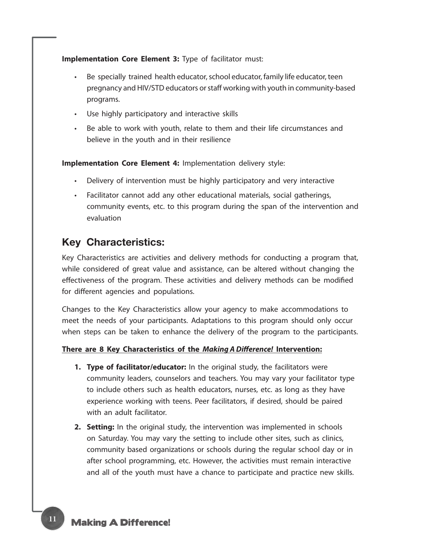**Implementation Core Element 3:** Type of facilitator must:

- Be specially trained health educator, school educator, family life educator, teen pregnancy and HIV/STD educators or staff working with youth in community-based programs.
- Use highly participatory and interactive skills
- Be able to work with youth, relate to them and their life circumstances and believe in the youth and in their resilience

**Implementation Core Element 4:** Implementation delivery style:

- Delivery of intervention must be highly participatory and very interactive
- Facilitator cannot add any other educational materials, social gatherings, community events, etc. to this program during the span of the intervention and evaluation

## **Key Characteristics:**

Key Characteristics are activities and delivery methods for conducting a program that, while considered of great value and assistance, can be altered without changing the effectiveness of the program. These activities and delivery methods can be modified for different agencies and populations.

Changes to the Key Characteristics allow your agency to make accommodations to meet the needs of your participants. Adaptations to this program should only occur when steps can be taken to enhance the delivery of the program to the participants.

#### **There are 8 Key Characteristics of the** *Making A Difference!* **Intervention:**

- **1. Type of facilitator/educator:** In the original study, the facilitators were community leaders, counselors and teachers. You may vary your facilitator type to include others such as health educators, nurses, etc. as long as they have experience working with teens. Peer facilitators, if desired, should be paired with an adult facilitator.
- **2. Setting:** In the original study, the intervention was implemented in schools on Saturday. You may vary the setting to include other sites, such as clinics, community based organizations or schools during the regular school day or in after school programming, etc. However, the activities must remain interactive and all of the youth must have a chance to participate and practice new skills.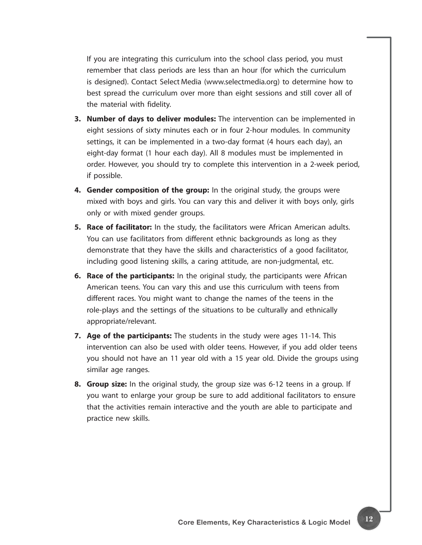If you are integrating this curriculum into the school class period, you must remember that class periods are less than an hour (for which the curriculum is designed). Contact Select Media (www.selectmedia.org) to determine how to best spread the curriculum over more than eight sessions and still cover all of the material with fidelity.

- **3. Number of days to deliver modules:** The intervention can be implemented in eight sessions of sixty minutes each or in four 2-hour modules. In community settings, it can be implemented in a two-day format (4 hours each day), an eight-day format (1 hour each day). All 8 modules must be implemented in order. However, you should try to complete this intervention in a 2-week period, if possible.
- **4. Gender composition of the group:** In the original study, the groups were mixed with boys and girls. You can vary this and deliver it with boys only, girls only or with mixed gender groups.
- **5. Race of facilitator:** In the study, the facilitators were African American adults. You can use facilitators from different ethnic backgrounds as long as they demonstrate that they have the skills and characteristics of a good facilitator, including good listening skills, a caring attitude, are non-judgmental, etc.
- **6. Race of the participants:** In the original study, the participants were African American teens. You can vary this and use this curriculum with teens from different races. You might want to change the names of the teens in the role-plays and the settings of the situations to be culturally and ethnically appropriate/relevant.
- **7. Age of the participants:** The students in the study were ages 11-14. This intervention can also be used with older teens. However, if you add older teens you should not have an 11 year old with a 15 year old. Divide the groups using similar age ranges.
- **8. Group size:** In the original study, the group size was 6-12 teens in a group. If you want to enlarge your group be sure to add additional facilitators to ensure that the activities remain interactive and the youth are able to participate and practice new skills.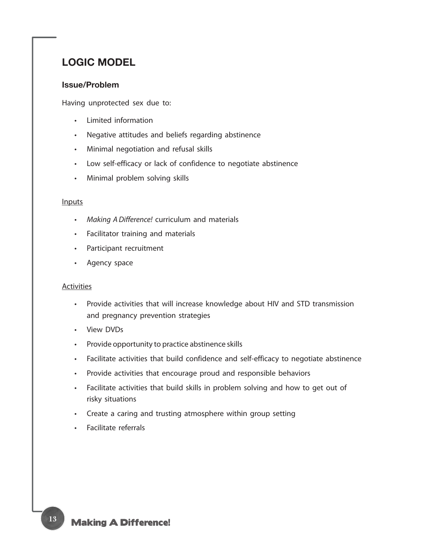# **LOGIC MODEL**

#### **Issue/Problem**

Having unprotected sex due to:

- Limited information
- Negative attitudes and beliefs regarding abstinence
- Minimal negotiation and refusal skills
- Low self-efficacy or lack of confidence to negotiate abstinence
- Minimal problem solving skills

#### Inputs

- • *Making A Difference!* curriculum and materials
- Facilitator training and materials
- Participant recruitment
- Agency space

#### Activities

- Provide activities that will increase knowledge about HIV and STD transmission and pregnancy prevention strategies
- View DVDs
- Provide opportunity to practice abstinence skills
- Facilitate activities that build confidence and self-efficacy to negotiate abstinence
- Provide activities that encourage proud and responsible behaviors
- Facilitate activities that build skills in problem solving and how to get out of risky situations
- Create a caring and trusting atmosphere within group setting
- Facilitate referrals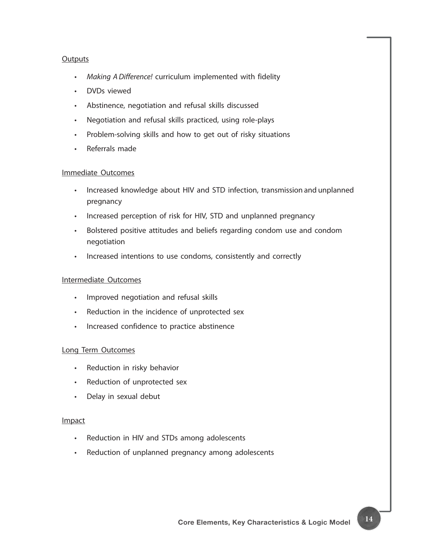#### **Outputs**

- • *Making A Difference!* curriculum implemented with fidelity
- DVDs viewed
- Abstinence, negotiation and refusal skills discussed
- Negotiation and refusal skills practiced, using role-plays
- Problem-solving skills and how to get out of risky situations
- Referrals made

#### Immediate Outcomes

- Increased knowledge about HIV and STD infection, transmission and unplanned pregnancy
- Increased perception of risk for HIV, STD and unplanned pregnancy
- Bolstered positive attitudes and beliefs regarding condom use and condom negotiation
- Increased intentions to use condoms, consistently and correctly

#### Intermediate Outcomes

- Improved negotiation and refusal skills
- Reduction in the incidence of unprotected sex
- Increased confidence to practice abstinence

#### Long Term Outcomes

- Reduction in risky behavior
- Reduction of unprotected sex
- Delay in sexual debut

#### Impact

- Reduction in HIV and STDs among adolescents
- Reduction of unplanned pregnancy among adolescents